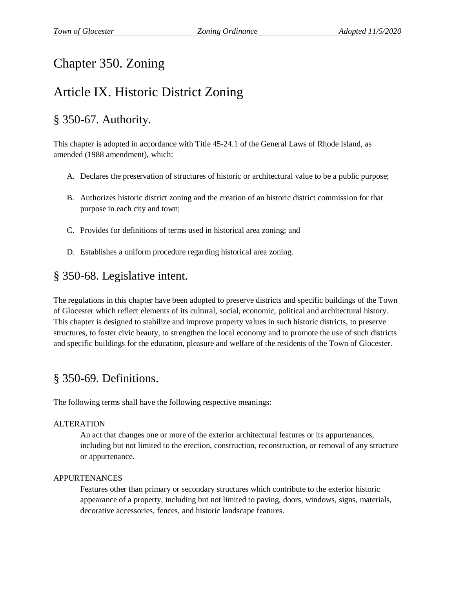# Chapter 350. Zoning

# Article IX. Historic District Zoning

## § 350-67. Authority.

This chapter is adopted in accordance with Title 45-24.1 of the General Laws of Rhode Island, as amended (1988 amendment), which:

- A. Declares the preservation of structures of historic or architectural value to be a public purpose;
- B. Authorizes historic district zoning and the creation of an historic district commission for that purpose in each city and town;
- C. Provides for definitions of terms used in historical area zoning; and
- D. Establishes a uniform procedure regarding historical area zoning.

### § 350-68. Legislative intent.

The regulations in this chapter have been adopted to preserve districts and specific buildings of the Town of Glocester which reflect elements of its cultural, social, economic, political and architectural history. This chapter is designed to stabilize and improve property values in such historic districts, to preserve structures, to foster civic beauty, to strengthen the local economy and to promote the use of such districts and specific buildings for the education, pleasure and welfare of the residents of the Town of Glocester.

### § 350-69. Definitions.

The following terms shall have the following respective meanings:

#### ALTERATION

An act that changes one or more of the exterior architectural features or its appurtenances, including but not limited to the erection, construction, reconstruction, or removal of any structure or appurtenance.

#### APPURTENANCES

Features other than primary or secondary structures which contribute to the exterior historic appearance of a property, including but not limited to paving, doors, windows, signs, materials, decorative accessories, fences, and historic landscape features.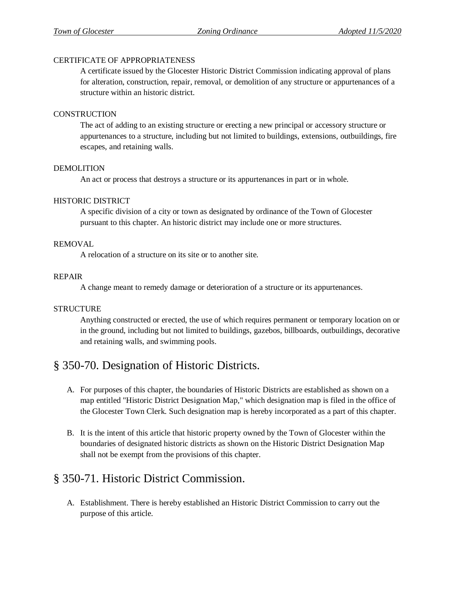#### CERTIFICATE OF APPROPRIATENESS

A certificate issued by the Glocester Historic District Commission indicating approval of plans for alteration, construction, repair, removal, or demolition of any structure or appurtenances of a structure within an historic district.

#### **CONSTRUCTION**

The act of adding to an existing structure or erecting a new principal or accessory structure or appurtenances to a structure, including but not limited to buildings, extensions, outbuildings, fire escapes, and retaining walls.

#### DEMOLITION

An act or process that destroys a structure or its appurtenances in part or in whole.

#### HISTORIC DISTRICT

A specific division of a city or town as designated by ordinance of the Town of Glocester pursuant to this chapter. An historic district may include one or more structures.

#### REMOVAL

A relocation of a structure on its site or to another site.

#### REPAIR

A change meant to remedy damage or deterioration of a structure or its appurtenances.

#### STRUCTURE

Anything constructed or erected, the use of which requires permanent or temporary location on or in the ground, including but not limited to buildings, gazebos, billboards, outbuildings, decorative and retaining walls, and swimming pools.

### § 350-70. Designation of Historic Districts.

- A. For purposes of this chapter, the boundaries of Historic Districts are established as shown on a map entitled "Historic District Designation Map," which designation map is filed in the office of the Glocester Town Clerk. Such designation map is hereby incorporated as a part of this chapter.
- B. It is the intent of this article that historic property owned by the Town of Glocester within the boundaries of designated historic districts as shown on the Historic District Designation Map shall not be exempt from the provisions of this chapter.

### § 350-71. Historic District Commission.

A. Establishment. There is hereby established an Historic District Commission to carry out the purpose of this article.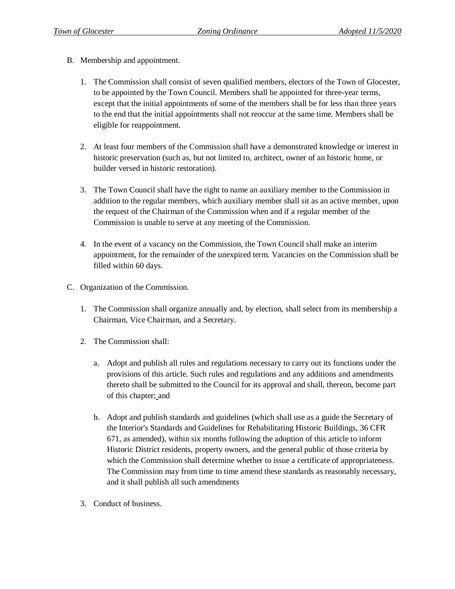- B. Membership and appointment.
	- 1. The Commission shall consist of seven qualified members, electors of the Town of Glocester, to be appointed by the Town Council. Members shall be appointed for three-year terms, except that the initial appointments of some of the members shall be for less than three years to the end that the initial appointments shall not reoccur at the same time. Members shall be eligible for reappointment.
	- 2. At least four members of the Commission shall have a demonstrated knowledge or interest in historic preservation (such as, but not limited to, architect, owner of an historic home, or builder versed in historic restoration).
	- 3. The Town Council shall have the right to name an auxiliary member to the Commission in addition to the regular members, which auxiliary member shall sit as an active member, upon the request of the Chairman of the Commission when and if a regular member of the Commission is unable to serve at any meeting of the Commission.
	- 4. In the event of a vacancy on the Commission, the Town Council shall make an interim appointment, for the remainder of the unexpired term. Vacancies on the Commission shall be filled within 60 days.
- C. Organization of the Commission.
	- 1. The Commission shall organize annually and, by election, shall select from its membership a Chairman, Vice Chairman, and a Secretary.
	- 2. The Commission shall:
		- a. Adopt and publish all rules and regulations necessary to carry out its functions under the provisions of this article. Such rules and regulations and any additions and amendments thereto shall be submitted to the Council for its approval and shall, thereon, become part of this chapter; and
		- b. Adopt and publish standards and guidelines (which shall use as a guide the Secretary of the Interior's Standards and Guidelines for Rehabilitating Historic Buildings, 36 CFR 671, as amended), within six months following the adoption of this article to inform Historic District residents, property owners, and the general public of those criteria by which the Commission shall determine whether to issue a certificate of appropriateness. The Commission may from time to time amend these standards as reasonably necessary, and it shall publish all such amendments
	- 3. Conduct of business.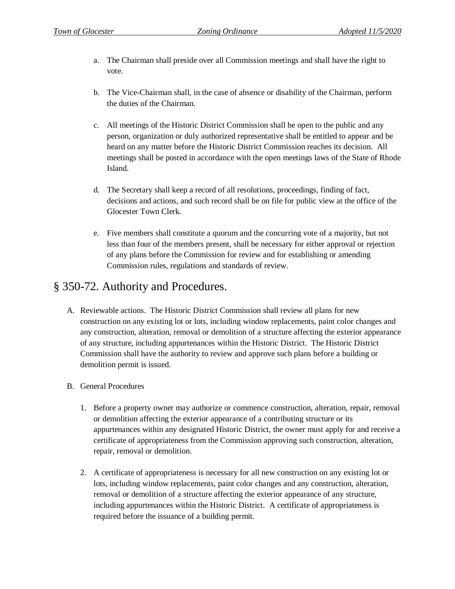- a. The Chairman shall preside over all Commission meetings and shall have the right to vote.
- b. The Vice-Chairman shall, in the case of absence or disability of the Chairman, perform the duties of the Chairman.
- c. All meetings of the Historic District Commission shall be open to the public and any person, organization or duly authorized representative shall be entitled to appear and be heard on any matter before the Historic District Commission reaches its decision. All meetings shall be posted in accordance with the open meetings laws of the State of Rhode Island.
- d. The Secretary shall keep a record of all resolutions, proceedings, finding of fact, decisions and actions, and such record shall be on file for public view at the office of the Glocester Town Clerk.
- e. Five members shall constitute a quorum and the concurring vote of a majority, but not less than four of the members present, shall be necessary for either approval or rejection of any plans before the Commission for review and for establishing or amending Commission rules, regulations and standards of review.

### § 350-72. Authority and Procedures.

- A. Reviewable actions. The Historic District Commission shall review all plans for new construction on any existing lot or lots, including window replacements, paint color changes and any construction, alteration, removal or demolition of a structure affecting the exterior appearance of any structure, including appurtenances within the Historic District. The Historic District Commission shall have the authority to review and approve such plans before a building or demolition permit is issued.
- B. General Procedures
	- 1. Before a property owner may authorize or commence construction, alteration, repair, removal or demolition affecting the exterior appearance of a contributing structure or its appurtenances within any designated Historic District, the owner must apply for and receive a certificate of appropriateness from the Commission approving such construction, alteration, repair, removal or demolition.
	- 2. A certificate of appropriateness is necessary for all new construction on any existing lot or lots, including window replacements, paint color changes and any construction, alteration, removal or demolition of a structure affecting the exterior appearance of any structure, including appurtenances within the Historic District. A certificate of appropriateness is required before the issuance of a building permit.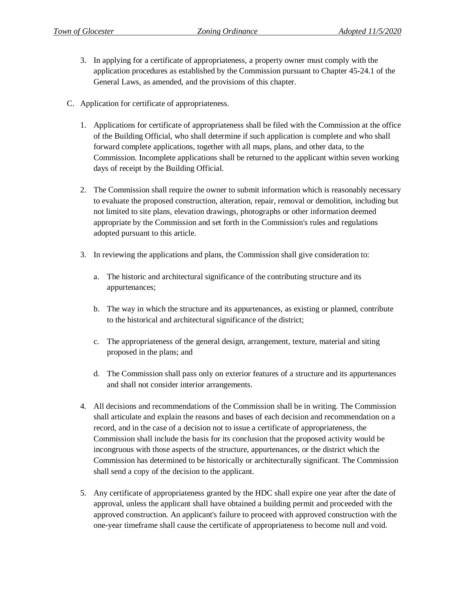- 3. In applying for a certificate of appropriateness, a property owner must comply with the application procedures as established by the Commission pursuant to Chapter 45-24.1 of the General Laws, as amended, and the provisions of this chapter.
- C. Application for certificate of appropriateness.
	- 1. Applications for certificate of appropriateness shall be filed with the Commission at the office of the Building Official, who shall determine if such application is complete and who shall forward complete applications, together with all maps, plans, and other data, to the Commission. Incomplete applications shall be returned to the applicant within seven working days of receipt by the Building Official.
	- 2. The Commission shall require the owner to submit information which is reasonably necessary to evaluate the proposed construction, alteration, repair, removal or demolition, including but not limited to site plans, elevation drawings, photographs or other information deemed appropriate by the Commission and set forth in the Commission's rules and regulations adopted pursuant to this article.
	- 3. In reviewing the applications and plans, the Commission shall give consideration to:
		- a. The historic and architectural significance of the contributing structure and its appurtenances;
		- b. The way in which the structure and its appurtenances, as existing or planned, contribute to the historical and architectural significance of the district;
		- c. The appropriateness of the general design, arrangement, texture, material and siting proposed in the plans; and
		- d. The Commission shall pass only on exterior features of a structure and its appurtenances and shall not consider interior arrangements.
	- 4. All decisions and recommendations of the Commission shall be in writing. The Commission shall articulate and explain the reasons and bases of each decision and recommendation on a record, and in the case of a decision not to issue a certificate of appropriateness, the Commission shall include the basis for its conclusion that the proposed activity would be incongruous with those aspects of the structure, appurtenances, or the district which the Commission has determined to be historically or architecturally significant. The Commission shall send a copy of the decision to the applicant.
	- 5. Any certificate of appropriateness granted by the HDC shall expire one year after the date of approval, unless the applicant shall have obtained a building permit and proceeded with the approved construction. An applicant's failure to proceed with approved construction with the one-year timeframe shall cause the certificate of appropriateness to become null and void.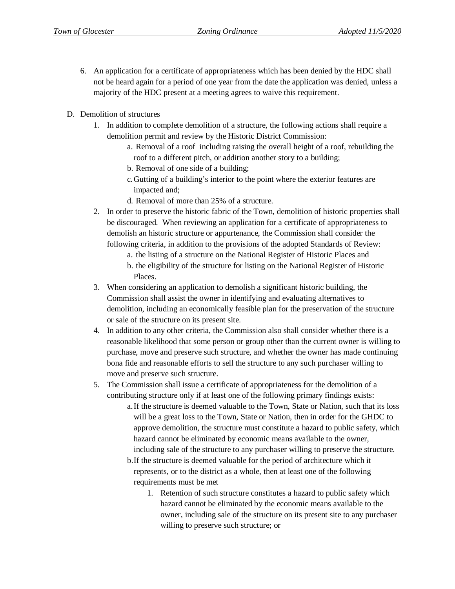- 6. An application for a certificate of appropriateness which has been denied by the HDC shall not be heard again for a period of one year from the date the application was denied, unless a majority of the HDC present at a meeting agrees to waive this requirement.
- D. Demolition of structures
	- 1. In addition to complete demolition of a structure, the following actions shall require a demolition permit and review by the Historic District Commission:
		- a. Removal of a roof including raising the overall height of a roof, rebuilding the roof to a different pitch, or addition another story to a building;
		- b. Removal of one side of a building;
		- c.Gutting of a building's interior to the point where the exterior features are impacted and;
		- d. Removal of more than 25% of a structure.
	- 2. In order to preserve the historic fabric of the Town, demolition of historic properties shall be discouraged. When reviewing an application for a certificate of appropriateness to demolish an historic structure or appurtenance, the Commission shall consider the following criteria, in addition to the provisions of the adopted Standards of Review:
		- a. the listing of a structure on the National Register of Historic Places and
		- b. the eligibility of the structure for listing on the National Register of Historic Places.
	- 3. When considering an application to demolish a significant historic building, the Commission shall assist the owner in identifying and evaluating alternatives to demolition, including an economically feasible plan for the preservation of the structure or sale of the structure on its present site.
	- 4. In addition to any other criteria, the Commission also shall consider whether there is a reasonable likelihood that some person or group other than the current owner is willing to purchase, move and preserve such structure, and whether the owner has made continuing bona fide and reasonable efforts to sell the structure to any such purchaser willing to move and preserve such structure.
	- 5. The Commission shall issue a certificate of appropriateness for the demolition of a contributing structure only if at least one of the following primary findings exists:
		- a.If the structure is deemed valuable to the Town, State or Nation, such that its loss will be a great loss to the Town, State or Nation, then in order for the GHDC to approve demolition, the structure must constitute a hazard to public safety, which hazard cannot be eliminated by economic means available to the owner, including sale of the structure to any purchaser willing to preserve the structure.
		- b.If the structure is deemed valuable for the period of architecture which it represents, or to the district as a whole, then at least one of the following requirements must be met
			- 1. Retention of such structure constitutes a hazard to public safety which hazard cannot be eliminated by the economic means available to the owner, including sale of the structure on its present site to any purchaser willing to preserve such structure; or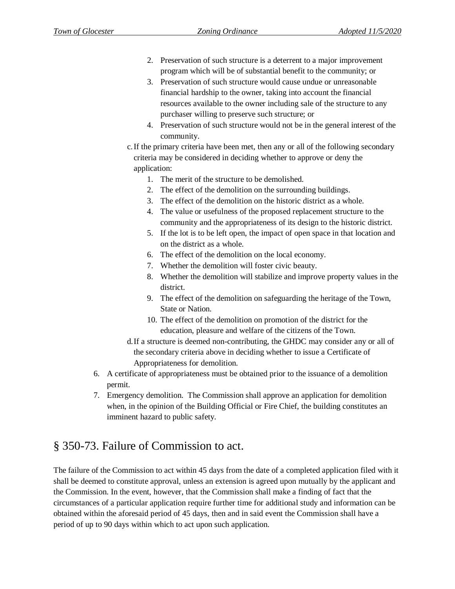- 2. Preservation of such structure is a deterrent to a major improvement program which will be of substantial benefit to the community; or
- 3. Preservation of such structure would cause undue or unreasonable financial hardship to the owner, taking into account the financial resources available to the owner including sale of the structure to any purchaser willing to preserve such structure; or
- 4. Preservation of such structure would not be in the general interest of the community.
- c.If the primary criteria have been met, then any or all of the following secondary criteria may be considered in deciding whether to approve or deny the application:
	- 1. The merit of the structure to be demolished.
	- 2. The effect of the demolition on the surrounding buildings.
	- 3. The effect of the demolition on the historic district as a whole.
	- 4. The value or usefulness of the proposed replacement structure to the community and the appropriateness of its design to the historic district.
	- 5. If the lot is to be left open, the impact of open space in that location and on the district as a whole.
	- 6. The effect of the demolition on the local economy.
	- 7. Whether the demolition will foster civic beauty.
	- 8. Whether the demolition will stabilize and improve property values in the district.
	- 9. The effect of the demolition on safeguarding the heritage of the Town, State or Nation.
	- 10. The effect of the demolition on promotion of the district for the education, pleasure and welfare of the citizens of the Town.
- d.If a structure is deemed non-contributing, the GHDC may consider any or all of the secondary criteria above in deciding whether to issue a Certificate of Appropriateness for demolition.
- 6. A certificate of appropriateness must be obtained prior to the issuance of a demolition permit.
- 7. Emergency demolition. The Commission shall approve an application for demolition when, in the opinion of the Building Official or Fire Chief, the building constitutes an imminent hazard to public safety.

## § 350-73. Failure of Commission to act.

The failure of the Commission to act within 45 days from the date of a completed application filed with it shall be deemed to constitute approval, unless an extension is agreed upon mutually by the applicant and the Commission. In the event, however, that the Commission shall make a finding of fact that the circumstances of a particular application require further time for additional study and information can be obtained within the aforesaid period of 45 days, then and in said event the Commission shall have a period of up to 90 days within which to act upon such application.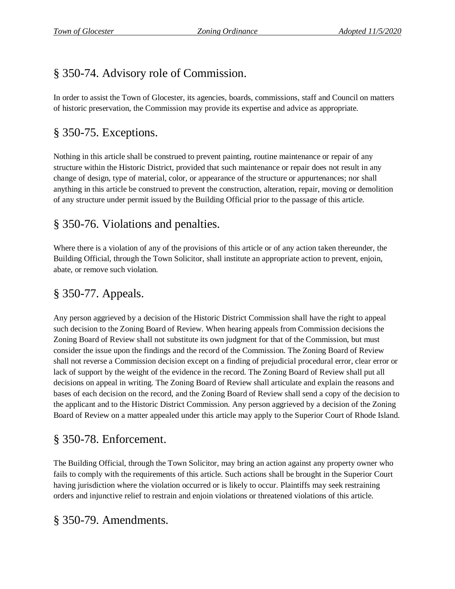# § 350-74. Advisory role of Commission.

In order to assist the Town of Glocester, its agencies, boards, commissions, staff and Council on matters of historic preservation, the Commission may provide its expertise and advice as appropriate.

# § 350-75. Exceptions.

Nothing in this article shall be construed to prevent painting, routine maintenance or repair of any structure within the Historic District, provided that such maintenance or repair does not result in any change of design, type of material, color, or appearance of the structure or appurtenances; nor shall anything in this article be construed to prevent the construction, alteration, repair, moving or demolition of any structure under permit issued by the Building Official prior to the passage of this article.

# § 350-76. Violations and penalties.

Where there is a violation of any of the provisions of this article or of any action taken thereunder, the Building Official, through the Town Solicitor, shall institute an appropriate action to prevent, enjoin, abate, or remove such violation.

# § 350-77. Appeals.

Any person aggrieved by a decision of the Historic District Commission shall have the right to appeal such decision to the Zoning Board of Review. When hearing appeals from Commission decisions the Zoning Board of Review shall not substitute its own judgment for that of the Commission, but must consider the issue upon the findings and the record of the Commission. The Zoning Board of Review shall not reverse a Commission decision except on a finding of prejudicial procedural error, clear error or lack of support by the weight of the evidence in the record. The Zoning Board of Review shall put all decisions on appeal in writing. The Zoning Board of Review shall articulate and explain the reasons and bases of each decision on the record, and the Zoning Board of Review shall send a copy of the decision to the applicant and to the Historic District Commission. Any person aggrieved by a decision of the Zoning Board of Review on a matter appealed under this article may apply to the Superior Court of Rhode Island.

## § 350-78. Enforcement.

The Building Official, through the Town Solicitor, may bring an action against any property owner who fails to comply with the requirements of this article. Such actions shall be brought in the Superior Court having jurisdiction where the violation occurred or is likely to occur. Plaintiffs may seek restraining orders and injunctive relief to restrain and enjoin violations or threatened violations of this article.

### § 350-79. Amendments.